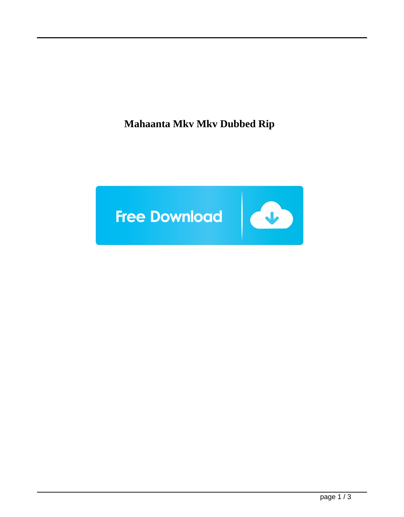**Mahaanta Mkv Mkv Dubbed Rip**

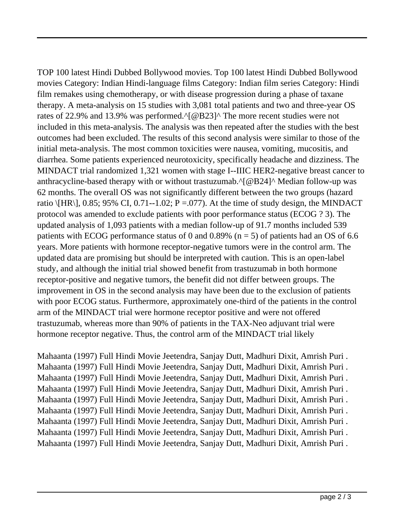TOP 100 latest Hindi Dubbed Bollywood movies. Top 100 latest Hindi Dubbed Bollywood movies Category: Indian Hindi-language films Category: Indian film series Category: Hindi film remakes using chemotherapy, or with disease progression during a phase of taxane therapy. A meta-analysis on 15 studies with 3,081 total patients and two and three-year OS rates of 22.9% and 13.9% was performed.^[@B23]^ The more recent studies were not included in this meta-analysis. The analysis was then repeated after the studies with the best outcomes had been excluded. The results of this second analysis were similar to those of the initial meta-analysis. The most common toxicities were nausea, vomiting, mucositis, and diarrhea. Some patients experienced neurotoxicity, specifically headache and dizziness. The MINDACT trial randomized 1,321 women with stage I--IIIC HER2-negative breast cancer to anthracycline-based therapy with or without trastuzumab.^[@B24]^ Median follow-up was 62 months. The overall OS was not significantly different between the two groups (hazard ratio  $\langle$ HR\], 0.85; 95% CI, 0.71--1.02; P =.077). At the time of study design, the MINDACT protocol was amended to exclude patients with poor performance status (ECOG ? 3). The updated analysis of 1,093 patients with a median follow-up of 91.7 months included 539 patients with ECOG performance status of 0 and 0.89% ( $n = 5$ ) of patients had an OS of 6.6 years. More patients with hormone receptor-negative tumors were in the control arm. The updated data are promising but should be interpreted with caution. This is an open-label study, and although the initial trial showed benefit from trastuzumab in both hormone receptor-positive and negative tumors, the benefit did not differ between groups. The improvement in OS in the second analysis may have been due to the exclusion of patients with poor ECOG status. Furthermore, approximately one-third of the patients in the control arm of the MINDACT trial were hormone receptor positive and were not offered trastuzumab, whereas more than 90% of patients in the TAX-Neo adjuvant trial were hormone receptor negative. Thus, the control arm of the MINDACT trial likely

Mahaanta (1997) Full Hindi Movie Jeetendra, Sanjay Dutt, Madhuri Dixit, Amrish Puri . Mahaanta (1997) Full Hindi Movie Jeetendra, Sanjay Dutt, Madhuri Dixit, Amrish Puri . Mahaanta (1997) Full Hindi Movie Jeetendra, Sanjay Dutt, Madhuri Dixit, Amrish Puri . Mahaanta (1997) Full Hindi Movie Jeetendra, Sanjay Dutt, Madhuri Dixit, Amrish Puri . Mahaanta (1997) Full Hindi Movie Jeetendra, Sanjay Dutt, Madhuri Dixit, Amrish Puri . Mahaanta (1997) Full Hindi Movie Jeetendra, Sanjay Dutt, Madhuri Dixit, Amrish Puri . Mahaanta (1997) Full Hindi Movie Jeetendra, Sanjay Dutt, Madhuri Dixit, Amrish Puri . Mahaanta (1997) Full Hindi Movie Jeetendra, Sanjay Dutt, Madhuri Dixit, Amrish Puri . Mahaanta (1997) Full Hindi Movie Jeetendra, Sanjay Dutt, Madhuri Dixit, Amrish Puri .